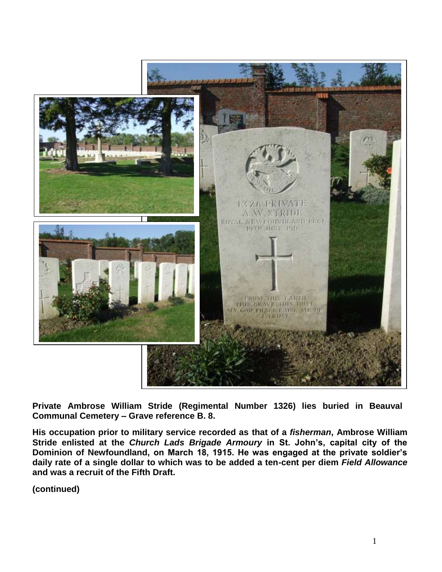

**Private Ambrose William Stride (Regimental Number 1326) lies buried in Beauval Communal Cemetery – Grave reference B. 8.** 

**His occupation prior to military service recorded as that of a** *fisherman***, Ambrose William Stride enlisted at the** *Church Lads Brigade Armoury* **in St. John's, capital city of the Dominion of Newfoundland, on March 18, 1915. He was engaged at the private soldier's daily rate of a single dollar to which was to be added a ten-cent per diem** *Field Allowance*  **and was a recruit of the Fifth Draft.**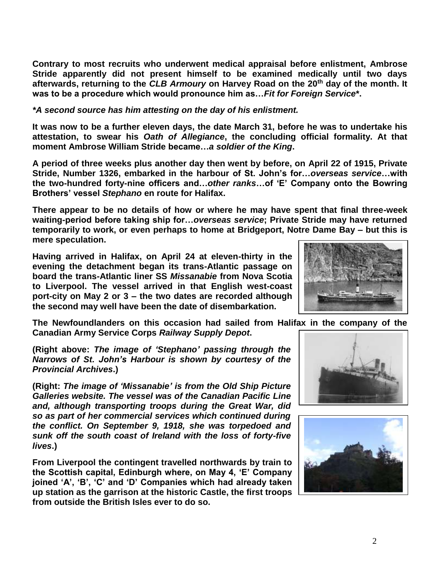**Contrary to most recruits who underwent medical appraisal before enlistment, Ambrose Stride apparently did not present himself to be examined medically until two days afterwards, returning to the** *CLB Armoury* **on Harvey Road on the 20th day of the month. It was to be a procedure which would pronounce him as…***Fit for Foreign Service***\*.** 

## *\*A second source has him attesting on the day of his enlistment.*

**It was now to be a further eleven days, the date March 31, before he was to undertake his attestation, to swear his** *Oath of Allegiance***, the concluding official formality. At that moment Ambrose William Stride became…***a soldier of the King***.**

**A period of three weeks plus another day then went by before, on April 22 of 1915, Private Stride, Number 1326, embarked in the harbour of St. John's for…***overseas service***…with the two-hundred forty-nine officers and…***other ranks***…of 'E' Company onto the Bowring Brothers' vessel** *Stephano* **en route for Halifax.** 

**There appear to be no details of how or where he may have spent that final three-week waiting-period before taking ship for…***overseas service***; Private Stride may have returned temporarily to work, or even perhaps to home at Bridgeport, Notre Dame Bay – but this is mere speculation.** 

**Having arrived in Halifax, on April 24 at eleven-thirty in the evening the detachment began its trans-Atlantic passage on board the trans-Atlantic liner SS** *Missanabie* **from Nova Scotia to Liverpool. The vessel arrived in that English west-coast port-city on May 2 or 3 – the two dates are recorded although the second may well have been the date of disembarkation.** 

**The Newfoundlanders on this occasion had sailed from Halifax in the company of the Canadian Army Service Corps** *Railway Supply Depot***.**

**(Right above:** *The image of 'Stephano' passing through the Narrows of St. John's Harbour is shown by courtesy of the Provincial Archives***.)**

**(Right:** *The image of 'Missanabie' is from the Old Ship Picture Galleries website. The vessel was of the Canadian Pacific Line and, although transporting troops during the Great War, did so as part of her commercial services which continued during the conflict. On September 9, 1918, she was torpedoed and sunk off the south coast of Ireland with the loss of forty-five lives***.)**

**From Liverpool the contingent travelled northwards by train to the Scottish capital, Edinburgh where, on May 4, 'E' Company joined 'A', 'B', 'C' and 'D' Companies which had already taken up station as the garrison at the historic Castle, the first troops from outside the British Isles ever to do so.**





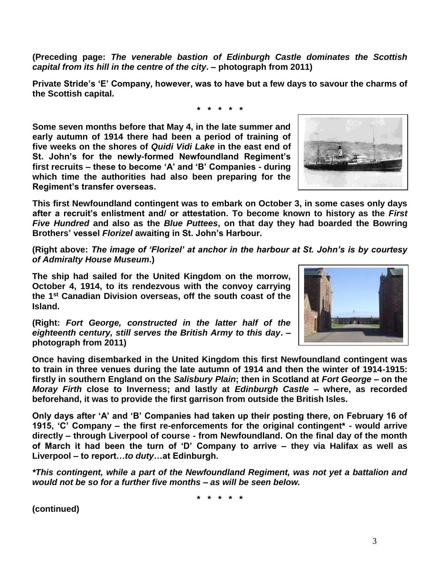**(Preceding page:** *The venerable bastion of Edinburgh Castle dominates the Scottish capital from its hill in the centre of the city***. – photograph from 2011)**

**Private Stride's 'E' Company, however, was to have but a few days to savour the charms of the Scottish capital.**

**\* \* \* \* \***

**Some seven months before that May 4, in the late summer and early autumn of 1914 there had been a period of training of five weeks on the shores of** *Quidi Vidi Lake* **in the east end of St. John's for the newly-formed Newfoundland Regiment's first recruits – these to become 'A' and 'B' Companies - during which time the authorities had also been preparing for the Regiment's transfer overseas.**

**This first Newfoundland contingent was to embark on October 3, in some cases only days after a recruit's enlistment and/ or attestation. To become known to history as the** *First Five Hundred* **and also as the** *Blue Puttees***, on that day they had boarded the Bowring Brothers' vessel** *Florizel* **awaiting in St. John's Harbour.**

**(Right above:** *The image of 'Florizel' at anchor in the harbour at St. John's is by courtesy of Admiralty House Museum***.)**

**The ship had sailed for the United Kingdom on the morrow, October 4, 1914, to its rendezvous with the convoy carrying the 1st Canadian Division overseas, off the south coast of the Island.** 

**(Right:** *Fort George, constructed in the latter half of the eighteenth century, still serves the British Army to this day***. – photograph from 2011)**

**Once having disembarked in the United Kingdom this first Newfoundland contingent was to train in three venues during the late autumn of 1914 and then the winter of 1914-1915: firstly in southern England on the** *Salisbury Plain***; then in Scotland at** *Fort George* **– on the**  *Moray Firth* **close to Inverness; and lastly at** *Edinburgh Castle* **– where, as recorded beforehand, it was to provide the first garrison from outside the British Isles.** 

**Only days after 'A' and 'B' Companies had taken up their posting there, on February 16 of 1915, 'C' Company – the first re-enforcements for the original contingent\* - would arrive directly – through Liverpool of course - from Newfoundland. On the final day of the month of March it had been the turn of 'D' Company to arrive – they via Halifax as well as Liverpool – to report…***to duty***…at Edinburgh.**

*\*This contingent, while a part of the Newfoundland Regiment, was not yet a battalion and would not be so for a further five months – as will be seen below.*

**\* \* \* \* \***

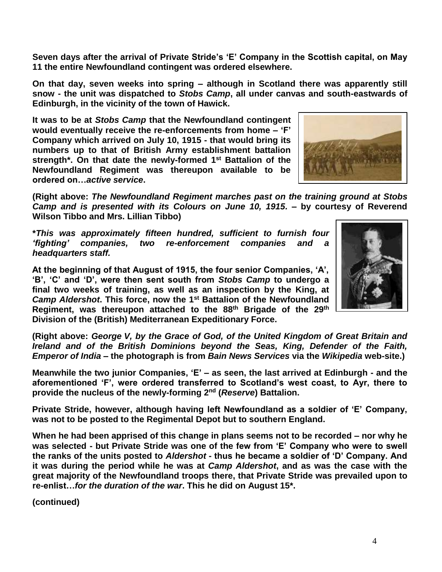**Seven days after the arrival of Private Stride's 'E' Company in the Scottish capital, on May 11 the entire Newfoundland contingent was ordered elsewhere.** 

**On that day, seven weeks into spring – although in Scotland there was apparently still snow - the unit was dispatched to** *Stobs Camp***, all under canvas and south-eastwards of Edinburgh, in the vicinity of the town of Hawick.**

**It was to be at** *Stobs Camp* **that the Newfoundland contingent would eventually receive the re-enforcements from home – 'F' Company which arrived on July 10, 1915 - that would bring its numbers up to that of British Army establishment battalion strength\*. On that date the newly-formed 1st Battalion of the Newfoundland Regiment was thereupon available to be ordered on…***active service***.**

**(Right above:** *The Newfoundland Regiment marches past on the training ground at Stobs Camp and is presented with its Colours on June 10, 1915.* **– by courtesy of Reverend Wilson Tibbo and Mrs. Lillian Tibbo)**

**\****This was approximately fifteen hundred, sufficient to furnish four 'fighting' companies, two re-enforcement companies and a headquarters staff.*

**At the beginning of that August of 1915, the four senior Companies, 'A', 'B', 'C' and 'D', were then sent south from** *Stobs Camp* **to undergo a final two weeks of training, as well as an inspection by the King, at**  *Camp Aldershot***. This force, now the 1st Battalion of the Newfoundland Regiment, was thereupon attached to the 88th Brigade of the 29th Division of the (British) Mediterranean Expeditionary Force.**

**(Right above:** *George V, by the Grace of God, of the United Kingdom of Great Britain and Ireland and of the British Dominions beyond the Seas, King, Defender of the Faith, Emperor of India* **– the photograph is from** *Bain News Services* **via the** *Wikipedia* **web-site.)**

**Meanwhile the two junior Companies, 'E' – as seen, the last arrived at Edinburgh - and the aforementioned 'F', were ordered transferred to Scotland's west coast, to Ayr, there to provide the nucleus of the newly-forming 2nd (***Reserve***) Battalion.**

**Private Stride, however, although having left Newfoundland as a soldier of 'E' Company, was not to be posted to the Regimental Depot but to southern England.**

**When he had been apprised of this change in plans seems not to be recorded – nor why he was selected - but Private Stride was one of the few from 'E' Company who were to swell the ranks of the units posted to** *Aldershot* **- thus he became a soldier of 'D' Company. And it was during the period while he was at** *Camp Aldershot***, and as was the case with the great majority of the Newfoundland troops there, that Private Stride was prevailed upon to re-enlist…***for the duration of the war***. This he did on August 15\*.**



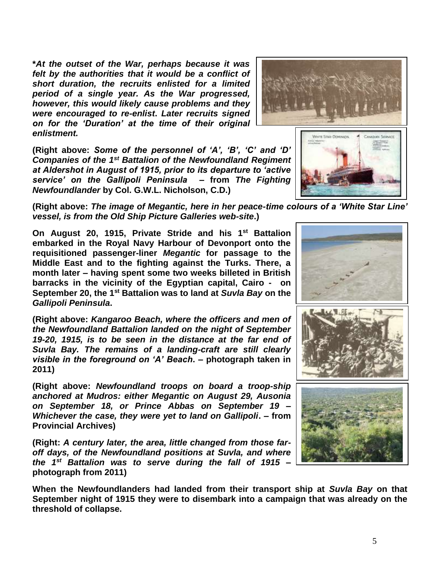**\****At the outset of the War, perhaps because it was felt by the authorities that it would be a conflict of short duration, the recruits enlisted for a limited period of a single year. As the War progressed, however, this would likely cause problems and they were encouraged to re-enlist***.** *Later recruits signed on for the 'Duration' at the time of their original enlistment.*

**(Right above:** *Some of the personnel of 'A', 'B', 'C' and 'D' Companies of the 1st Battalion of the Newfoundland Regiment at Aldershot in August of 1915, prior to its departure to 'active service' on the Gallipoli Peninsula* **– from** *The Fighting Newfoundlander* **by Col. G.W.L. Nicholson, C.D.)**

**(Right above:** *The image of Megantic, here in her peace-time colours of a 'White Star Line' vessel, is from the Old Ship Picture Galleries web-site***.)**

**On August 20, 1915, Private Stride and his 1st Battalion embarked in the Royal Navy Harbour of Devonport onto the requisitioned passenger-liner** *Megantic* **for passage to the Middle East and to the fighting against the Turks. There, a month later – having spent some two weeks billeted in British barracks in the vicinity of the Egyptian capital, Cairo - on September 20, the 1st Battalion was to land at** *Suvla Bay* **on the**  *Gallipoli Peninsula***.**

**(Right above:** *Kangaroo Beach, where the officers and men of the Newfoundland Battalion landed on the night of September 19-20, 1915, is to be seen in the distance at the far end of Suvla Bay. The remains of a landing-craft are still clearly visible in the foreground on 'A' Beach***. – photograph taken in 2011)**

**(Right above:** *Newfoundland troops on board a troop-ship anchored at Mudros: either Megantic on August 29, Ausonia on September 18, or Prince Abbas on September 19 – Whichever the case, they were yet to land on Gallipoli***. – from Provincial Archives)**

**(Right:** *A century later, the area, little changed from those faroff days, of the Newfoundland positions at Suvla, and where the 1st Battalion was to serve during the fall of 1915* **– photograph from 2011)**

**When the Newfoundlanders had landed from their transport ship at** *Suvla Bay* **on that September night of 1915 they were to disembark into a campaign that was already on the threshold of collapse.**







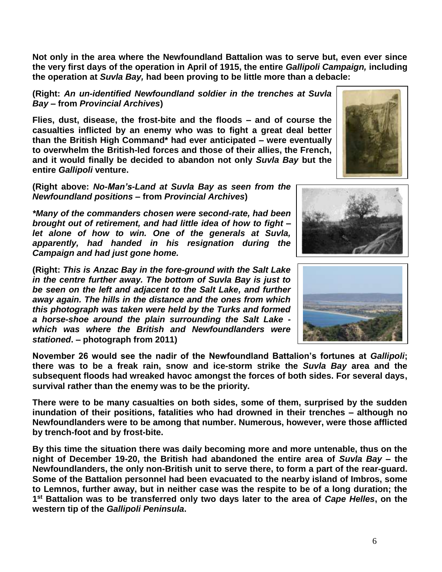**Not only in the area where the Newfoundland Battalion was to serve but, even ever since the very first days of the operation in April of 1915, the entire** *Gallipoli Campaign,* **including the operation at** *Suvla Bay,* **had been proving to be little more than a debacle:** 

**(Right:** *An un-identified Newfoundland soldier in the trenches at Suvla Bay –* **from** *Provincial Archives***)**

**Flies, dust, disease, the frost-bite and the floods – and of course the casualties inflicted by an enemy who was to fight a great deal better than the British High Command\* had ever anticipated – were eventually to overwhelm the British-led forces and those of their allies, the French, and it would finally be decided to abandon not only** *Suvla Bay* **but the entire** *Gallipoli* **venture.**

**(Right above:** *No-Man's-Land at Suvla Bay as seen from the Newfoundland positions* **– from** *Provincial Archives***)**

*\*Many of the commanders chosen were second-rate, had been brought out of retirement, and had little idea of how to fight – let alone of how to win. One of the generals at Suvla, apparently, had handed in his resignation during the Campaign and had just gone home.*

**(Right:** *This is Anzac Bay in the fore-ground with the Salt Lake in the centre further away. The bottom of Suvla Bay is just to be seen on the left and adjacent to the Salt Lake, and further away again. The hills in the distance and the ones from which this photograph was taken were held by the Turks and formed a horse-shoe around the plain surrounding the Salt Lake which was where the British and Newfoundlanders were stationed***. – photograph from 2011)**

**November 26 would see the nadir of the Newfoundland Battalion's fortunes at** *Gallipoli***; there was to be a freak rain, snow and ice-storm strike the** *Suvla Bay* **area and the subsequent floods had wreaked havoc amongst the forces of both sides. For several days, survival rather than the enemy was to be the priority.**

**There were to be many casualties on both sides, some of them, surprised by the sudden inundation of their positions, fatalities who had drowned in their trenches – although no Newfoundlanders were to be among that number. Numerous, however, were those afflicted by trench-foot and by frost-bite.**

**By this time the situation there was daily becoming more and more untenable, thus on the night of December 19-20, the British had abandoned the entire area of** *Suvla Bay* **– the Newfoundlanders, the only non-British unit to serve there, to form a part of the rear-guard. Some of the Battalion personnel had been evacuated to the nearby island of Imbros, some to Lemnos, further away, but in neither case was the respite to be of a long duration; the 1 st Battalion was to be transferred only two days later to the area of** *Cape Helles***, on the western tip of the** *Gallipoli Peninsula***.**



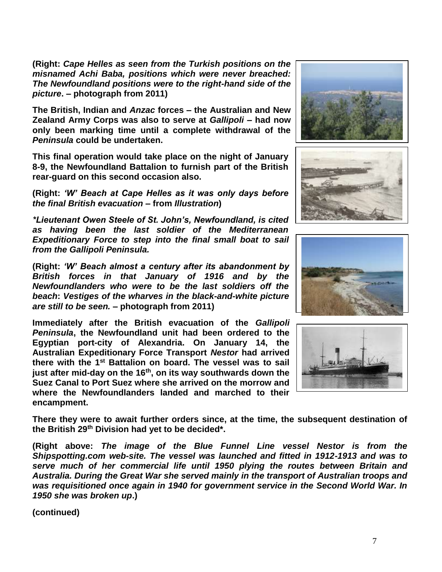**(Right:** *Cape Helles as seen from the Turkish positions on the misnamed Achi Baba, positions which were never breached: The Newfoundland positions were to the right-hand side of the picture***. – photograph from 2011)**

**The British, Indian and** *Anzac* **forces – the Australian and New Zealand Army Corps was also to serve at** *Gallipoli* **– had now only been marking time until a complete withdrawal of the**  *Peninsula* **could be undertaken.** 

**This final operation would take place on the night of January 8-9, the Newfoundland Battalion to furnish part of the British rear-guard on this second occasion also.**

**(Right:** *'W' Beach at Cape Helles as it was only days before the final British evacuation* **– from** *Illustration***)**

*\*Lieutenant Owen Steele of St. John's, Newfoundland, is cited as having been the last soldier of the Mediterranean Expeditionary Force to step into the final small boat to sail from the Gallipoli Peninsula.*

**(Right:** *'W' Beach almost a century after its abandonment by British forces in that January of 1916 and by the Newfoundlanders who were to be the last soldiers off the beach***:** *Vestiges of the wharves in the black-and-white picture are still to be seen.* **– photograph from 2011)**

**Immediately after the British evacuation of the** *Gallipoli Peninsula***, the Newfoundland unit had been ordered to the Egyptian port-city of Alexandria. On January 14, the Australian Expeditionary Force Transport** *Nestor* **had arrived there with the 1st Battalion on board. The vessel was to sail just after mid-day on the 16th, on its way southwards down the Suez Canal to Port Suez where she arrived on the morrow and where the Newfoundlanders landed and marched to their encampment.**









**There they were to await further orders since, at the time, the subsequent destination of the British 29th Division had yet to be decided\*.**

**(Right above:** *The image of the Blue Funnel Line vessel Nestor is from the Shipspotting.com web-site. The vessel was launched and fitted in 1912-1913 and was to serve much of her commercial life until 1950 plying the routes between Britain and Australia. During the Great War she served mainly in the transport of Australian troops and was requisitioned once again in 1940 for government service in the Second World War. In 1950 she was broken up***.)**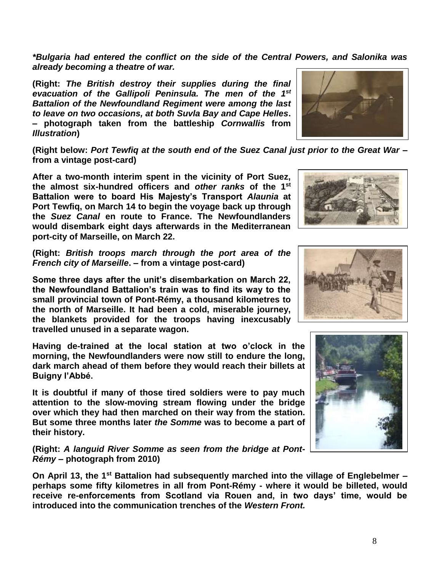*\*Bulgaria had entered the conflict on the side of the Central Powers, and Salonika was already becoming a theatre of war.*

**(Right:** *The British destroy their supplies during the final evacuation of the Gallipoli Peninsula. The men of the 1st Battalion of the Newfoundland Regiment were among the last to leave on two occasions, at both Suvla Bay and Cape Helles***. – photograph taken from the battleship** *Cornwallis* **from**  *Illustration***)**

**(Right below:** *Port Tewfiq at the south end of the Suez Canal just prior to the Great War* **– from a vintage post-card)**

**After a two-month interim spent in the vicinity of Port Suez, the almost six-hundred officers and** *other ranks* **of the 1st Battalion were to board His Majesty's Transport** *Alaunia* **at Port Tewfiq, on March 14 to begin the voyage back up through the** *Suez Canal* **en route to France. The Newfoundlanders would disembark eight days afterwards in the Mediterranean port-city of Marseille, on March 22.**

**(Right:** *British troops march through the port area of the French city of Marseille***. – from a vintage post-card)**

**Some three days after the unit's disembarkation on March 22, the Newfoundland Battalion's train was to find its way to the small provincial town of Pont-Rémy, a thousand kilometres to the north of Marseille. It had been a cold, miserable journey, the blankets provided for the troops having inexcusably travelled unused in a separate wagon.**

**Having de-trained at the local station at two o'clock in the morning, the Newfoundlanders were now still to endure the long, dark march ahead of them before they would reach their billets at Buigny l'Abbé.**

**It is doubtful if many of those tired soldiers were to pay much attention to the slow-moving stream flowing under the bridge over which they had then marched on their way from the station. But some three months later** *the Somme* **was to become a part of their history.**

**(Right:** *A languid River Somme as seen from the bridge at Pont-Rémy* **– photograph from 2010)**

**On April 13, the 1st Battalion had subsequently marched into the village of Englebelmer – perhaps some fifty kilometres in all from Pont-Rémy - where it would be billeted, would receive re-enforcements from Scotland via Rouen and, in two days' time, would be introduced into the communication trenches of the** *Western Front.*





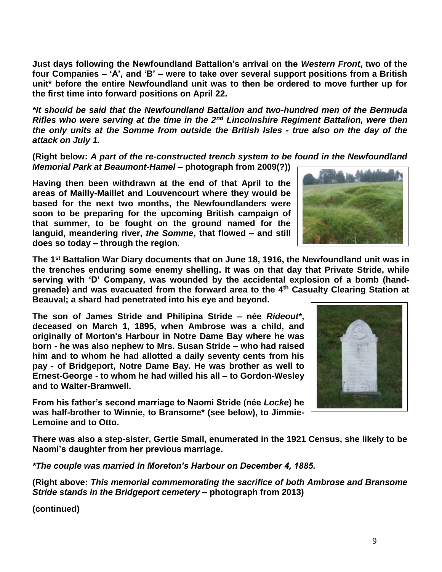**Just days following the Newfoundland Battalion's arrival on the** *Western Front***, two of the four Companies – 'A', and 'B' – were to take over several support positions from a British unit\* before the entire Newfoundland unit was to then be ordered to move further up for the first time into forward positions on April 22.**

*\*It should be said that the Newfoundland Battalion and two-hundred men of the Bermuda Rifles who were serving at the time in the 2nd Lincolnshire Regiment Battalion, were then the only units at the Somme from outside the British Isles - true also on the day of the attack on July 1.*

**(Right below:** *A part of the re-constructed trench system to be found in the Newfoundland Memorial Park at Beaumont-Hamel* **– photograph from 2009(?))**

**Having then been withdrawn at the end of that April to the areas of Mailly-Maillet and Louvencourt where they would be based for the next two months, the Newfoundlanders were soon to be preparing for the upcoming British campaign of that summer, to be fought on the ground named for the languid, meandering river,** *the Somme***, that flowed – and still does so today – through the region.** 

**The 1st Battalion War Diary documents that on June 18, 1916, the Newfoundland unit was in the trenches enduring some enemy shelling. It was on that day that Private Stride, while serving with 'D' Company, was wounded by the accidental explosion of a bomb (handgrenade) and was evacuated from the forward area to the 4 th Casualty Clearing Station at Beauval; a shard had penetrated into his eye and beyond.**

**The son of James Stride and Philipina Stride – née** *Rideout\****, deceased on March 1, 1895, when Ambrose was a child, and originally of Morton's Harbour in Notre Dame Bay where he was born - he was also nephew to Mrs. Susan Stride – who had raised him and to whom he had allotted a daily seventy cents from his pay - of Bridgeport, Notre Dame Bay. He was brother as well to Ernest-George - to whom he had willed his all – to Gordon-Wesley and to Walter-Bramwell.**

**From his father's second marriage to Naomi Stride (née** *Locke***) he was half-brother to Winnie, to Bransome\* (see below), to Jimmie-Lemoine and to Otto.** 

**There was also a step-sister, Gertie Small, enumerated in the 1921 Census, she likely to be Naomi's daughter from her previous marriage.** 

*\*The couple was married in Moreton's Harbour on December 4, 1885.*

**(Right above:** *This memorial commemorating the sacrifice of both Ambrose and Bransome Stride stands in the Bridgeport cemetery* **– photograph from 2013)**